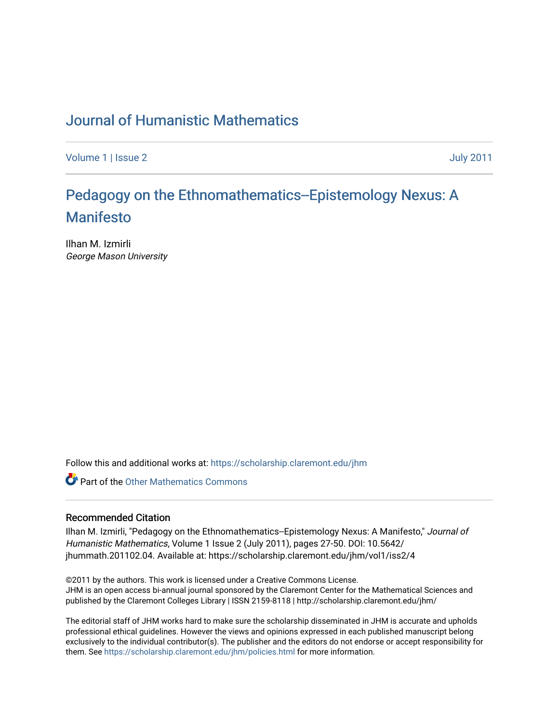## [Journal of Humanistic Mathematics](https://scholarship.claremont.edu/jhm)

[Volume 1](https://scholarship.claremont.edu/jhm/vol1) | [Issue 2](https://scholarship.claremont.edu/jhm/vol1/iss2) July 2011

# [Pedagogy on the Ethnomathematics--Epistemology Nexus: A](https://scholarship.claremont.edu/jhm/vol1/iss2/4)  [Manifesto](https://scholarship.claremont.edu/jhm/vol1/iss2/4)

Ilhan M. Izmirli George Mason University

Follow this and additional works at: [https://scholarship.claremont.edu/jhm](https://scholarship.claremont.edu/jhm?utm_source=scholarship.claremont.edu%2Fjhm%2Fvol1%2Fiss2%2F4&utm_medium=PDF&utm_campaign=PDFCoverPages)

**Part of the [Other Mathematics Commons](http://network.bepress.com/hgg/discipline/185?utm_source=scholarship.claremont.edu%2Fjhm%2Fvol1%2Fiss2%2F4&utm_medium=PDF&utm_campaign=PDFCoverPages)** 

#### Recommended Citation

Ilhan M. Izmirli, "Pedagogy on the Ethnomathematics--Epistemology Nexus: A Manifesto," Journal of Humanistic Mathematics, Volume 1 Issue 2 (July 2011), pages 27-50. DOI: 10.5642/ jhummath.201102.04. Available at: https://scholarship.claremont.edu/jhm/vol1/iss2/4

©2011 by the authors. This work is licensed under a Creative Commons License. JHM is an open access bi-annual journal sponsored by the Claremont Center for the Mathematical Sciences and published by the Claremont Colleges Library | ISSN 2159-8118 | http://scholarship.claremont.edu/jhm/

The editorial staff of JHM works hard to make sure the scholarship disseminated in JHM is accurate and upholds professional ethical guidelines. However the views and opinions expressed in each published manuscript belong exclusively to the individual contributor(s). The publisher and the editors do not endorse or accept responsibility for them. See<https://scholarship.claremont.edu/jhm/policies.html> for more information.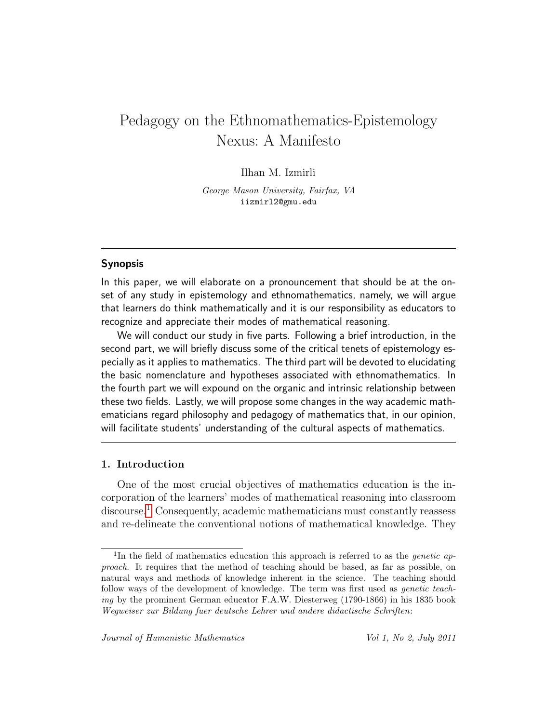## Pedagogy on the Ethnomathematics-Epistemology Nexus: A Manifesto

## Ilhan M. Izmirli

George Mason University, Fairfax, VA iizmirl2@gmu.edu

#### Synopsis

In this paper, we will elaborate on a pronouncement that should be at the onset of any study in epistemology and ethnomathematics, namely, we will argue that learners do think mathematically and it is our responsibility as educators to recognize and appreciate their modes of mathematical reasoning.

We will conduct our study in five parts. Following a brief introduction, in the second part, we will briefly discuss some of the critical tenets of epistemology especially as it applies to mathematics. The third part will be devoted to elucidating the basic nomenclature and hypotheses associated with ethnomathematics. In the fourth part we will expound on the organic and intrinsic relationship between these two fields. Lastly, we will propose some changes in the way academic mathematicians regard philosophy and pedagogy of mathematics that, in our opinion, will facilitate students' understanding of the cultural aspects of mathematics.

### 1. Introduction

One of the most crucial objectives of mathematics education is the incorporation of the learners' modes of mathematical reasoning into classroom discourse.<sup>[1](#page-1-0)</sup> Consequently, academic mathematicians must constantly reassess and re-delineate the conventional notions of mathematical knowledge. They

<span id="page-1-0"></span><sup>&</sup>lt;sup>1</sup>In the field of mathematics education this approach is referred to as the *genetic* approach. It requires that the method of teaching should be based, as far as possible, on natural ways and methods of knowledge inherent in the science. The teaching should follow ways of the development of knowledge. The term was first used as genetic teaching by the prominent German educator F.A.W. Diesterweg (1790-1866) in his 1835 book Wegweiser zur Bildung fuer deutsche Lehrer und andere didactische Schriften: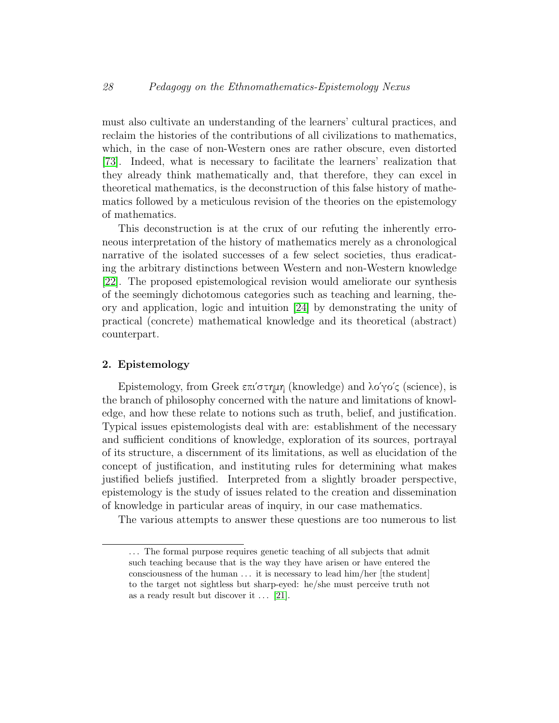must also cultivate an understanding of the learners' cultural practices, and reclaim the histories of the contributions of all civilizations to mathematics, which, in the case of non-Western ones are rather obscure, even distorted [\[73\]](#page-24-0). Indeed, what is necessary to facilitate the learners' realization that they already think mathematically and, that therefore, they can excel in theoretical mathematics, is the deconstruction of this false history of mathematics followed by a meticulous revision of the theories on the epistemology of mathematics.

This deconstruction is at the crux of our refuting the inherently erroneous interpretation of the history of mathematics merely as a chronological narrative of the isolated successes of a few select societies, thus eradicating the arbitrary distinctions between Western and non-Western knowledge [\[22\]](#page-19-0). The proposed epistemological revision would ameliorate our synthesis of the seemingly dichotomous categories such as teaching and learning, theory and application, logic and intuition [\[24\]](#page-19-1) by demonstrating the unity of practical (concrete) mathematical knowledge and its theoretical (abstract) counterpart.

#### 2. Epistemology

Epistemology, from Greek επι΄στημη (knowledge) and λο΄γο΄ς (science), is the branch of philosophy concerned with the nature and limitations of knowledge, and how these relate to notions such as truth, belief, and justification. Typical issues epistemologists deal with are: establishment of the necessary and sufficient conditions of knowledge, exploration of its sources, portrayal of its structure, a discernment of its limitations, as well as elucidation of the concept of justification, and instituting rules for determining what makes justified beliefs justified. Interpreted from a slightly broader perspective, epistemology is the study of issues related to the creation and dissemination of knowledge in particular areas of inquiry, in our case mathematics.

The various attempts to answer these questions are too numerous to list

<sup>...</sup> The formal purpose requires genetic teaching of all subjects that admit such teaching because that is the way they have arisen or have entered the consciousness of the human . . . it is necessary to lead him/her [the student] to the target not sightless but sharp-eyed: he/she must perceive truth not as a ready result but discover it  $\ldots$  [\[21\]](#page-19-2).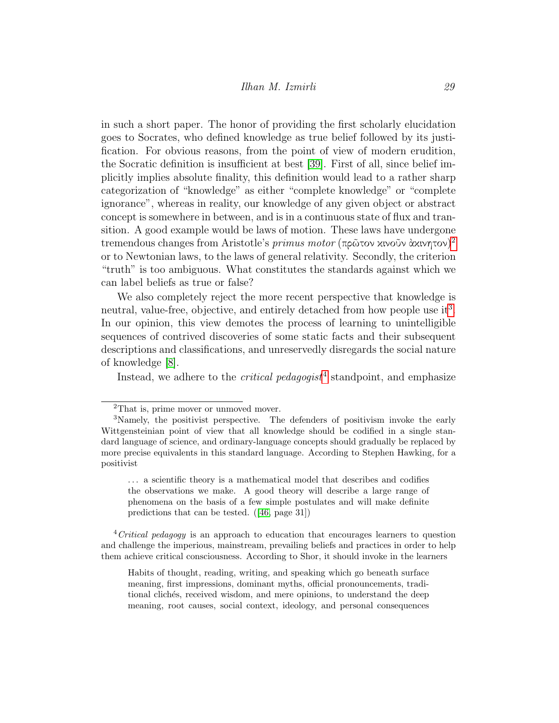in such a short paper. The honor of providing the first scholarly elucidation goes to Socrates, who defined knowledge as true belief followed by its justification. For obvious reasons, from the point of view of modern erudition, the Socratic definition is insufficient at best [\[39\]](#page-21-0). First of all, since belief implicitly implies absolute finality, this definition would lead to a rather sharp categorization of "knowledge" as either "complete knowledge" or "complete ignorance", whereas in reality, our knowledge of any given object or abstract concept is somewhere in between, and is in a continuous state of flux and transition. A good example would be laws of motion. These laws have undergone tremendous changes from Aristotle's *primus motor* (πρῶτον κινοῦν ἀκινητον)<sup>[2](#page-3-0)</sup> or to Newtonian laws, to the laws of general relativity. Secondly, the criterion "truth" is too ambiguous. What constitutes the standards against which we can label beliefs as true or false?

We also completely reject the more recent perspective that knowledge is neutral, value-free, objective, and entirely detached from how people use it<sup>[3](#page-3-1)</sup>. In our opinion, this view demotes the process of learning to unintelligible sequences of contrived discoveries of some static facts and their subsequent descriptions and classifications, and unreservedly disregards the social nature of knowledge [\[8\]](#page-18-0).

Instead, we adhere to the *critical pedagogist*<sup>[4](#page-3-2)</sup> standpoint, and emphasize

. . . a scientific theory is a mathematical model that describes and codifies the observations we make. A good theory will describe a large range of phenomena on the basis of a few simple postulates and will make definite predictions that can be tested. ([\[46,](#page-21-1) page 31])

<span id="page-3-2"></span> $4\text{Critical pedagogy}$  is an approach to education that encourages learners to question and challenge the imperious, mainstream, prevailing beliefs and practices in order to help them achieve critical consciousness. According to Shor, it should invoke in the learners

Habits of thought, reading, writing, and speaking which go beneath surface meaning, first impressions, dominant myths, official pronouncements, traditional clichés, received wisdom, and mere opinions, to understand the deep meaning, root causes, social context, ideology, and personal consequences

<span id="page-3-1"></span><span id="page-3-0"></span><sup>2</sup>That is, prime mover or unmoved mover.

<sup>3</sup>Namely, the positivist perspective. The defenders of positivism invoke the early Wittgensteinian point of view that all knowledge should be codified in a single standard language of science, and ordinary-language concepts should gradually be replaced by more precise equivalents in this standard language. According to Stephen Hawking, for a positivist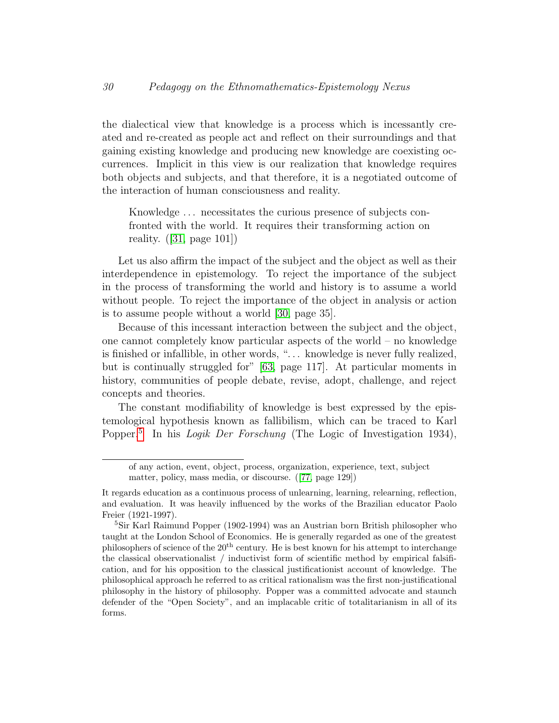the dialectical view that knowledge is a process which is incessantly created and re-created as people act and reflect on their surroundings and that gaining existing knowledge and producing new knowledge are coexisting occurrences. Implicit in this view is our realization that knowledge requires both objects and subjects, and that therefore, it is a negotiated outcome of the interaction of human consciousness and reality.

Knowledge . . . necessitates the curious presence of subjects confronted with the world. It requires their transforming action on reality.  $(|31, \text{ page } 101|)$ 

Let us also affirm the impact of the subject and the object as well as their interdependence in epistemology. To reject the importance of the subject in the process of transforming the world and history is to assume a world without people. To reject the importance of the object in analysis or action is to assume people without a world [\[30,](#page-20-1) page 35].

Because of this incessant interaction between the subject and the object, one cannot completely know particular aspects of the world – no knowledge is finished or infallible, in other words, ". . . knowledge is never fully realized, but is continually struggled for" [\[63,](#page-23-0) page 117]. At particular moments in history, communities of people debate, revise, adopt, challenge, and reject concepts and theories.

The constant modifiability of knowledge is best expressed by the epistemological hypothesis known as fallibilism, which can be traced to Karl Popper.<sup>[5](#page-4-0)</sup> In his *Logik Der Forschung* (The Logic of Investigation 1934),

of any action, event, object, process, organization, experience, text, subject matter, policy, mass media, or discourse. ([\[77,](#page-24-1) page 129])

It regards education as a continuous process of unlearning, learning, relearning, reflection, and evaluation. It was heavily influenced by the works of the Brazilian educator Paolo Freier (1921-1997).

<span id="page-4-0"></span><sup>5</sup>Sir Karl Raimund Popper (1902-1994) was an Austrian born British philosopher who taught at the London School of Economics. He is generally regarded as one of the greatest philosophers of science of the  $20<sup>th</sup>$  century. He is best known for his attempt to interchange the classical observationalist / inductivist form of scientific method by empirical falsification, and for his opposition to the classical justificationist account of knowledge. The philosophical approach he referred to as critical rationalism was the first non-justificational philosophy in the history of philosophy. Popper was a committed advocate and staunch defender of the "Open Society", and an implacable critic of totalitarianism in all of its forms.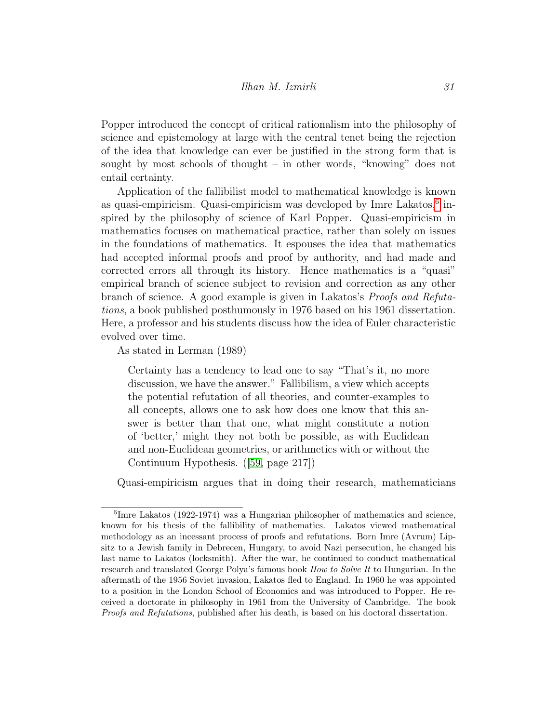Popper introduced the concept of critical rationalism into the philosophy of science and epistemology at large with the central tenet being the rejection of the idea that knowledge can ever be justified in the strong form that is sought by most schools of thought – in other words, "knowing" does not entail certainty.

Application of the fallibilist model to mathematical knowledge is known as quasi-empiricism. Quasi-empiricism was developed by Imre Lakatos,<sup>[6](#page-5-0)</sup> inspired by the philosophy of science of Karl Popper. Quasi-empiricism in mathematics focuses on mathematical practice, rather than solely on issues in the foundations of mathematics. It espouses the idea that mathematics had accepted informal proofs and proof by authority, and had made and corrected errors all through its history. Hence mathematics is a "quasi" empirical branch of science subject to revision and correction as any other branch of science. A good example is given in Lakatos's Proofs and Refutations, a book published posthumously in 1976 based on his 1961 dissertation. Here, a professor and his students discuss how the idea of Euler characteristic evolved over time.

As stated in Lerman (1989)

Certainty has a tendency to lead one to say "That's it, no more discussion, we have the answer." Fallibilism, a view which accepts the potential refutation of all theories, and counter-examples to all concepts, allows one to ask how does one know that this answer is better than that one, what might constitute a notion of 'better,' might they not both be possible, as with Euclidean and non-Euclidean geometries, or arithmetics with or without the Continuum Hypothesis. ([\[59,](#page-22-0) page 217])

Quasi-empiricism argues that in doing their research, mathematicians

<span id="page-5-0"></span><sup>6</sup> Imre Lakatos (1922-1974) was a Hungarian philosopher of mathematics and science, known for his thesis of the fallibility of mathematics. Lakatos viewed mathematical methodology as an incessant process of proofs and refutations. Born Imre (Avrum) Lipsitz to a Jewish family in Debrecen, Hungary, to avoid Nazi persecution, he changed his last name to Lakatos (locksmith). After the war, he continued to conduct mathematical research and translated George Polya's famous book *How to Solve It* to Hungarian. In the aftermath of the 1956 Soviet invasion, Lakatos fled to England. In 1960 he was appointed to a position in the London School of Economics and was introduced to Popper. He received a doctorate in philosophy in 1961 from the University of Cambridge. The book Proofs and Refutations, published after his death, is based on his doctoral dissertation.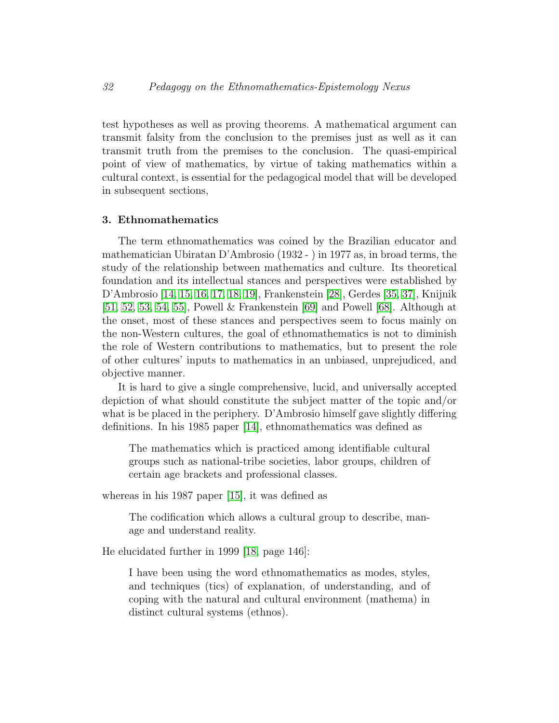test hypotheses as well as proving theorems. A mathematical argument can transmit falsity from the conclusion to the premises just as well as it can transmit truth from the premises to the conclusion. The quasi-empirical point of view of mathematics, by virtue of taking mathematics within a cultural context, is essential for the pedagogical model that will be developed in subsequent sections,

#### 3. Ethnomathematics

The term ethnomathematics was coined by the Brazilian educator and mathematician Ubiratan D'Ambrosio (1932 - ) in 1977 as, in broad terms, the study of the relationship between mathematics and culture. Its theoretical foundation and its intellectual stances and perspectives were established by D'Ambrosio [\[14,](#page-19-3) [15,](#page-19-4) [16,](#page-19-5) [17,](#page-19-6) [18,](#page-19-7) [19\]](#page-19-8), Frankenstein [\[28\]](#page-20-2), Gerdes [\[35,](#page-20-3) [37\]](#page-21-2), Knijnik [\[51,](#page-22-1) [52,](#page-22-2) [53,](#page-22-3) [54,](#page-22-4) [55\]](#page-22-5), Powell & Frankenstein [\[69\]](#page-23-1) and Powell [\[68\]](#page-23-2). Although at the onset, most of these stances and perspectives seem to focus mainly on the non-Western cultures, the goal of ethnomathematics is not to diminish the role of Western contributions to mathematics, but to present the role of other cultures' inputs to mathematics in an unbiased, unprejudiced, and objective manner.

It is hard to give a single comprehensive, lucid, and universally accepted depiction of what should constitute the subject matter of the topic and/or what is be placed in the periphery. D'Ambrosio himself gave slightly differing definitions. In his 1985 paper [\[14\]](#page-19-3), ethnomathematics was defined as

The mathematics which is practiced among identifiable cultural groups such as national-tribe societies, labor groups, children of certain age brackets and professional classes.

whereas in his 1987 paper [\[15\]](#page-19-4), it was defined as

The codification which allows a cultural group to describe, manage and understand reality.

He elucidated further in 1999 [\[18,](#page-19-7) page 146]:

I have been using the word ethnomathematics as modes, styles, and techniques (tics) of explanation, of understanding, and of coping with the natural and cultural environment (mathema) in distinct cultural systems (ethnos).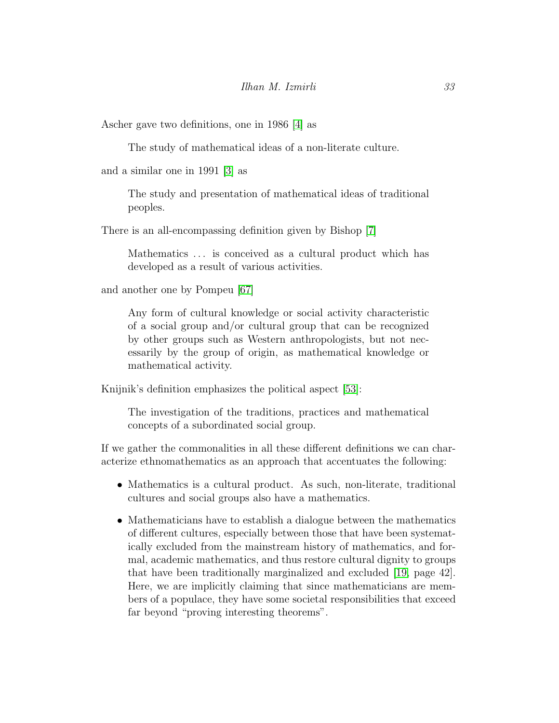Ascher gave two definitions, one in 1986 [\[4\]](#page-18-1) as

The study of mathematical ideas of a non-literate culture.

and a similar one in 1991 [\[3\]](#page-18-2) as

The study and presentation of mathematical ideas of traditional peoples.

There is an all-encompassing definition given by Bishop [\[7\]](#page-18-3)

Mathematics ... is conceived as a cultural product which has developed as a result of various activities.

and another one by Pompeu [\[67\]](#page-23-3)

Any form of cultural knowledge or social activity characteristic of a social group and/or cultural group that can be recognized by other groups such as Western anthropologists, but not necessarily by the group of origin, as mathematical knowledge or mathematical activity.

Knijnik's definition emphasizes the political aspect [\[53\]](#page-22-3):

The investigation of the traditions, practices and mathematical concepts of a subordinated social group.

If we gather the commonalities in all these different definitions we can characterize ethnomathematics as an approach that accentuates the following:

- Mathematics is a cultural product. As such, non-literate, traditional cultures and social groups also have a mathematics.
- Mathematicians have to establish a dialogue between the mathematics of different cultures, especially between those that have been systematically excluded from the mainstream history of mathematics, and formal, academic mathematics, and thus restore cultural dignity to groups that have been traditionally marginalized and excluded [\[19,](#page-19-8) page 42]. Here, we are implicitly claiming that since mathematicians are members of a populace, they have some societal responsibilities that exceed far beyond "proving interesting theorems".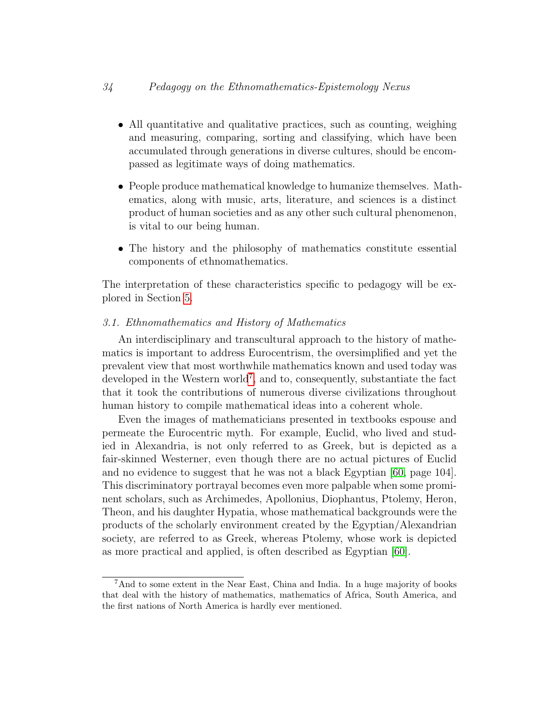- All quantitative and qualitative practices, such as counting, weighing and measuring, comparing, sorting and classifying, which have been accumulated through generations in diverse cultures, should be encompassed as legitimate ways of doing mathematics.
- People produce mathematical knowledge to humanize themselves. Mathematics, along with music, arts, literature, and sciences is a distinct product of human societies and as any other such cultural phenomenon, is vital to our being human.
- The history and the philosophy of mathematics constitute essential components of ethnomathematics.

The interpretation of these characteristics specific to pedagogy will be explored in Section [5.](#page-15-0)

#### 3.1. Ethnomathematics and History of Mathematics

An interdisciplinary and transcultural approach to the history of mathematics is important to address Eurocentrism, the oversimplified and yet the prevalent view that most worthwhile mathematics known and used today was developed in the Western world<sup>[7](#page-8-0)</sup>, and to, consequently, substantiate the fact that it took the contributions of numerous diverse civilizations throughout human history to compile mathematical ideas into a coherent whole.

Even the images of mathematicians presented in textbooks espouse and permeate the Eurocentric myth. For example, Euclid, who lived and studied in Alexandria, is not only referred to as Greek, but is depicted as a fair-skinned Westerner, even though there are no actual pictures of Euclid and no evidence to suggest that he was not a black Egyptian [\[60,](#page-23-4) page 104]. This discriminatory portrayal becomes even more palpable when some prominent scholars, such as Archimedes, Apollonius, Diophantus, Ptolemy, Heron, Theon, and his daughter Hypatia, whose mathematical backgrounds were the products of the scholarly environment created by the Egyptian/Alexandrian society, are referred to as Greek, whereas Ptolemy, whose work is depicted as more practical and applied, is often described as Egyptian [\[60\]](#page-23-4).

<span id="page-8-0"></span><sup>7</sup>And to some extent in the Near East, China and India. In a huge majority of books that deal with the history of mathematics, mathematics of Africa, South America, and the first nations of North America is hardly ever mentioned.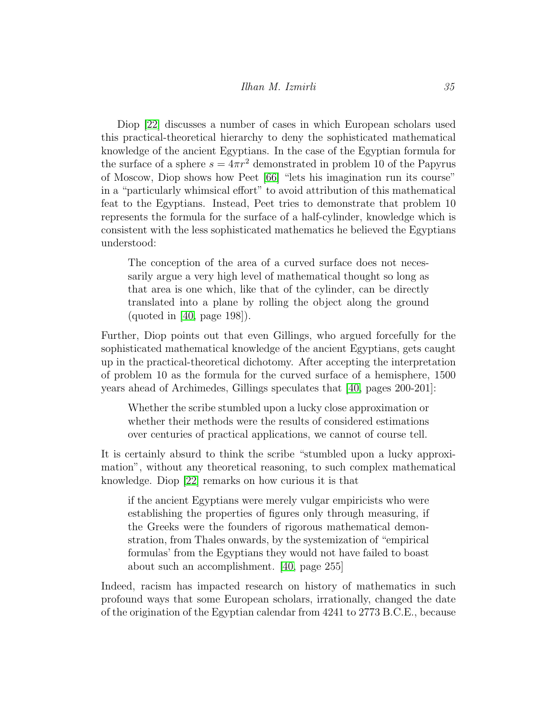Diop [\[22\]](#page-19-0) discusses a number of cases in which European scholars used this practical-theoretical hierarchy to deny the sophisticated mathematical knowledge of the ancient Egyptians. In the case of the Egyptian formula for the surface of a sphere  $s = 4\pi r^2$  demonstrated in problem 10 of the Papyrus of Moscow, Diop shows how Peet [\[66\]](#page-23-5) "lets his imagination run its course" in a "particularly whimsical effort" to avoid attribution of this mathematical feat to the Egyptians. Instead, Peet tries to demonstrate that problem 10 represents the formula for the surface of a half-cylinder, knowledge which is consistent with the less sophisticated mathematics he believed the Egyptians understood:

The conception of the area of a curved surface does not necessarily argue a very high level of mathematical thought so long as that area is one which, like that of the cylinder, can be directly translated into a plane by rolling the object along the ground (quoted in [\[40,](#page-21-3) page 198]).

Further, Diop points out that even Gillings, who argued forcefully for the sophisticated mathematical knowledge of the ancient Egyptians, gets caught up in the practical-theoretical dichotomy. After accepting the interpretation of problem 10 as the formula for the curved surface of a hemisphere, 1500 years ahead of Archimedes, Gillings speculates that [\[40,](#page-21-3) pages 200-201]:

Whether the scribe stumbled upon a lucky close approximation or whether their methods were the results of considered estimations over centuries of practical applications, we cannot of course tell.

It is certainly absurd to think the scribe "stumbled upon a lucky approximation", without any theoretical reasoning, to such complex mathematical knowledge. Diop [\[22\]](#page-19-0) remarks on how curious it is that

if the ancient Egyptians were merely vulgar empiricists who were establishing the properties of figures only through measuring, if the Greeks were the founders of rigorous mathematical demonstration, from Thales onwards, by the systemization of "empirical formulas' from the Egyptians they would not have failed to boast about such an accomplishment. [\[40,](#page-21-3) page 255]

Indeed, racism has impacted research on history of mathematics in such profound ways that some European scholars, irrationally, changed the date of the origination of the Egyptian calendar from 4241 to 2773 B.C.E., because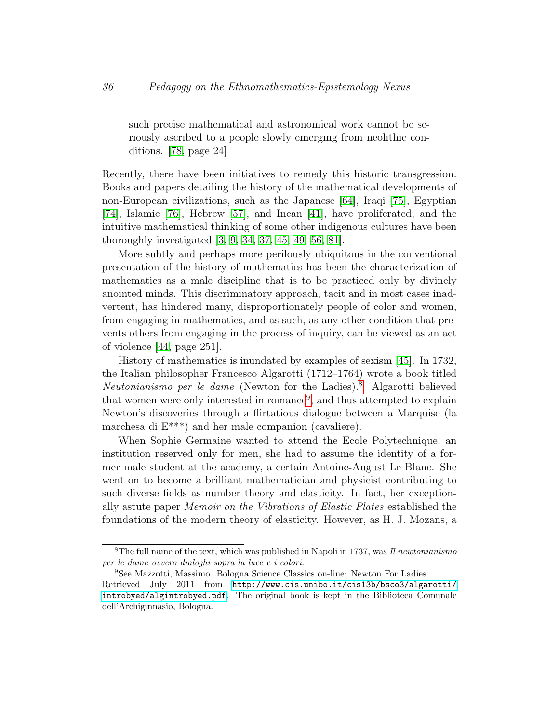such precise mathematical and astronomical work cannot be seriously ascribed to a people slowly emerging from neolithic conditions. [\[78,](#page-24-2) page 24]

Recently, there have been initiatives to remedy this historic transgression. Books and papers detailing the history of the mathematical developments of non-European civilizations, such as the Japanese [\[64\]](#page-23-6), Iraqi [\[75\]](#page-24-3), Egyptian [\[74\]](#page-24-4), Islamic [\[76\]](#page-24-5), Hebrew [\[57\]](#page-22-6), and Incan [\[41\]](#page-21-4), have proliferated, and the intuitive mathematical thinking of some other indigenous cultures have been thoroughly investigated [\[3,](#page-18-2) [9,](#page-18-4) [34,](#page-20-4) [37,](#page-21-2) [45,](#page-21-5) [49,](#page-22-7) [56,](#page-22-8) [81\]](#page-24-6).

More subtly and perhaps more perilously ubiquitous in the conventional presentation of the history of mathematics has been the characterization of mathematics as a male discipline that is to be practiced only by divinely anointed minds. This discriminatory approach, tacit and in most cases inadvertent, has hindered many, disproportionately people of color and women, from engaging in mathematics, and as such, as any other condition that prevents others from engaging in the process of inquiry, can be viewed as an act of violence [\[44,](#page-21-6) page 251].

History of mathematics is inundated by examples of sexism [\[45\]](#page-21-5). In 1732, the Italian philosopher Francesco Algarotti (1712–1764) wrote a book titled Neutonianismo per le dame (Newton for the Ladies).[8](#page-10-0) Algarotti believed that women were only interested in romance<sup>[9](#page-10-1)</sup>, and thus attempted to explain Newton's discoveries through a flirtatious dialogue between a Marquise (la marchesa di E\*\*\*) and her male companion (cavaliere).

When Sophie Germaine wanted to attend the Ecole Polytechnique, an institution reserved only for men, she had to assume the identity of a former male student at the academy, a certain Antoine-August Le Blanc. She went on to become a brilliant mathematician and physicist contributing to such diverse fields as number theory and elasticity. In fact, her exceptionally astute paper Memoir on the Vibrations of Elastic Plates established the foundations of the modern theory of elasticity. However, as H. J. Mozans, a

<span id="page-10-0"></span><sup>&</sup>lt;sup>8</sup>The full name of the text, which was published in Napoli in 1737, was Il newtonianismo per le dame ovvero dialoghi sopra la luce e i colori.

<span id="page-10-1"></span><sup>9</sup>See Mazzotti, Massimo. Bologna Science Classics on-line: Newton For Ladies.

Retrieved July 2011 from [http://www.cis.unibo.it/cis13b/bsco3/algarotti/](http://www.cis.unibo.it/cis13b/bsco3/algarotti/introbyed/algintrobyed.pdf) [introbyed/algintrobyed.pdf](http://www.cis.unibo.it/cis13b/bsco3/algarotti/introbyed/algintrobyed.pdf). The original book is kept in the Biblioteca Comunale dell'Archiginnasio, Bologna.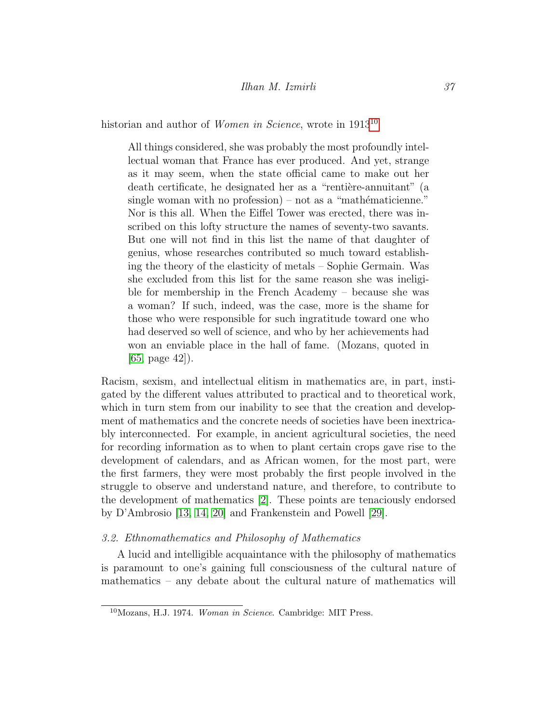### Ilhan M. Izmirli 37

historian and author of *Women in Science*, wrote in 1913<sup>[10](#page-11-0)</sup>

All things considered, she was probably the most profoundly intellectual woman that France has ever produced. And yet, strange as it may seem, when the state official came to make out her death certificate, he designated her as a "rentière-annuitant" (a single woman with no profession) – not as a "mathématicienne." Nor is this all. When the Eiffel Tower was erected, there was inscribed on this lofty structure the names of seventy-two savants. But one will not find in this list the name of that daughter of genius, whose researches contributed so much toward establishing the theory of the elasticity of metals – Sophie Germain. Was she excluded from this list for the same reason she was ineligible for membership in the French Academy – because she was a woman? If such, indeed, was the case, more is the shame for those who were responsible for such ingratitude toward one who had deserved so well of science, and who by her achievements had won an enviable place in the hall of fame. (Mozans, quoted in [\[65,](#page-23-7) page 42]).

Racism, sexism, and intellectual elitism in mathematics are, in part, instigated by the different values attributed to practical and to theoretical work, which in turn stem from our inability to see that the creation and development of mathematics and the concrete needs of societies have been inextricably interconnected. For example, in ancient agricultural societies, the need for recording information as to when to plant certain crops gave rise to the development of calendars, and as African women, for the most part, were the first farmers, they were most probably the first people involved in the struggle to observe and understand nature, and therefore, to contribute to the development of mathematics [\[2\]](#page-18-5). These points are tenaciously endorsed by D'Ambrosio [\[13,](#page-18-6) [14,](#page-19-3) [20\]](#page-19-9) and Frankenstein and Powell [\[29\]](#page-20-5).

#### 3.2. Ethnomathematics and Philosophy of Mathematics

A lucid and intelligible acquaintance with the philosophy of mathematics is paramount to one's gaining full consciousness of the cultural nature of mathematics – any debate about the cultural nature of mathematics will

<span id="page-11-0"></span><sup>10</sup>Mozans, H.J. 1974. Woman in Science. Cambridge: MIT Press.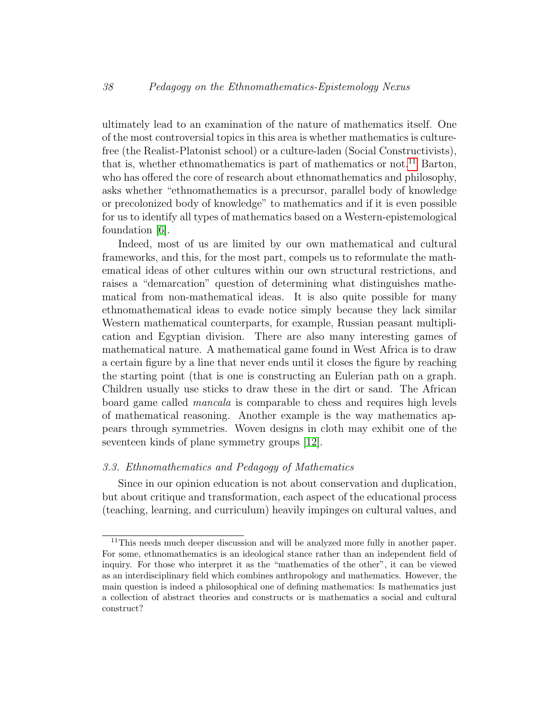ultimately lead to an examination of the nature of mathematics itself. One of the most controversial topics in this area is whether mathematics is culturefree (the Realist-Platonist school) or a culture-laden (Social Constructivists), that is, whether ethnomathematics is part of mathematics or not.<sup>[11](#page-12-0)</sup> Barton, who has offered the core of research about ethnomathematics and philosophy, asks whether "ethnomathematics is a precursor, parallel body of knowledge or precolonized body of knowledge" to mathematics and if it is even possible for us to identify all types of mathematics based on a Western-epistemological foundation [\[6\]](#page-18-7).

Indeed, most of us are limited by our own mathematical and cultural frameworks, and this, for the most part, compels us to reformulate the mathematical ideas of other cultures within our own structural restrictions, and raises a "demarcation" question of determining what distinguishes mathematical from non-mathematical ideas. It is also quite possible for many ethnomathematical ideas to evade notice simply because they lack similar Western mathematical counterparts, for example, Russian peasant multiplication and Egyptian division. There are also many interesting games of mathematical nature. A mathematical game found in West Africa is to draw a certain figure by a line that never ends until it closes the figure by reaching the starting point (that is one is constructing an Eulerian path on a graph. Children usually use sticks to draw these in the dirt or sand. The African board game called mancala is comparable to chess and requires high levels of mathematical reasoning. Another example is the way mathematics appears through symmetries. Woven designs in cloth may exhibit one of the seventeen kinds of plane symmetry groups [\[12\]](#page-18-8).

#### 3.3. Ethnomathematics and Pedagogy of Mathematics

Since in our opinion education is not about conservation and duplication, but about critique and transformation, each aspect of the educational process (teaching, learning, and curriculum) heavily impinges on cultural values, and

<span id="page-12-0"></span><sup>&</sup>lt;sup>11</sup>This needs much deeper discussion and will be analyzed more fully in another paper. For some, ethnomathematics is an ideological stance rather than an independent field of inquiry. For those who interpret it as the "mathematics of the other", it can be viewed as an interdisciplinary field which combines anthropology and mathematics. However, the main question is indeed a philosophical one of defining mathematics: Is mathematics just a collection of abstract theories and constructs or is mathematics a social and cultural construct?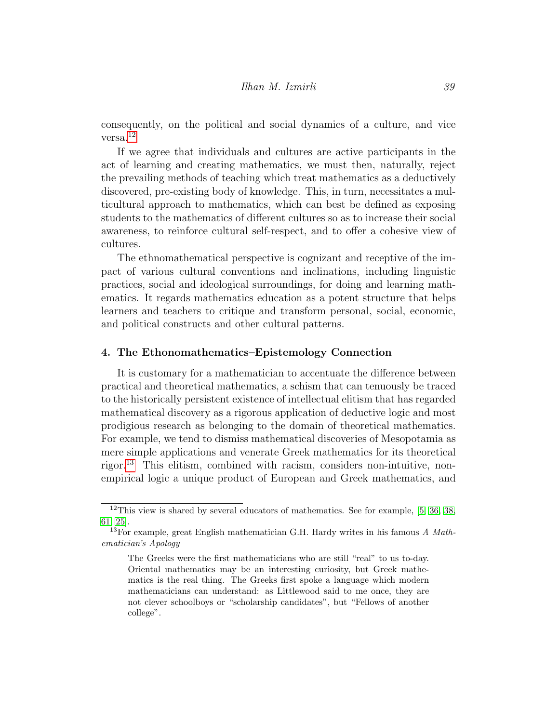consequently, on the political and social dynamics of a culture, and vice versa.[12](#page-13-0)

If we agree that individuals and cultures are active participants in the act of learning and creating mathematics, we must then, naturally, reject the prevailing methods of teaching which treat mathematics as a deductively discovered, pre-existing body of knowledge. This, in turn, necessitates a multicultural approach to mathematics, which can best be defined as exposing students to the mathematics of different cultures so as to increase their social awareness, to reinforce cultural self-respect, and to offer a cohesive view of cultures.

The ethnomathematical perspective is cognizant and receptive of the impact of various cultural conventions and inclinations, including linguistic practices, social and ideological surroundings, for doing and learning mathematics. It regards mathematics education as a potent structure that helps learners and teachers to critique and transform personal, social, economic, and political constructs and other cultural patterns.

#### 4. The Ethonomathematics–Epistemology Connection

It is customary for a mathematician to accentuate the difference between practical and theoretical mathematics, a schism that can tenuously be traced to the historically persistent existence of intellectual elitism that has regarded mathematical discovery as a rigorous application of deductive logic and most prodigious research as belonging to the domain of theoretical mathematics. For example, we tend to dismiss mathematical discoveries of Mesopotamia as mere simple applications and venerate Greek mathematics for its theoretical rigor.[13](#page-13-1) This elitism, combined with racism, considers non-intuitive, nonempirical logic a unique product of European and Greek mathematics, and

<span id="page-13-0"></span> $12$ This view is shared by several educators of mathematics. See for example, [\[5,](#page-18-9) [36,](#page-20-6) [38,](#page-21-7) [61,](#page-23-8) [25\]](#page-19-10).

<span id="page-13-1"></span><sup>&</sup>lt;sup>13</sup>For example, great English mathematician G.H. Hardy writes in his famous A Mathematician's Apology

The Greeks were the first mathematicians who are still "real" to us to-day. Oriental mathematics may be an interesting curiosity, but Greek mathematics is the real thing. The Greeks first spoke a language which modern mathematicians can understand: as Littlewood said to me once, they are not clever schoolboys or "scholarship candidates", but "Fellows of another college".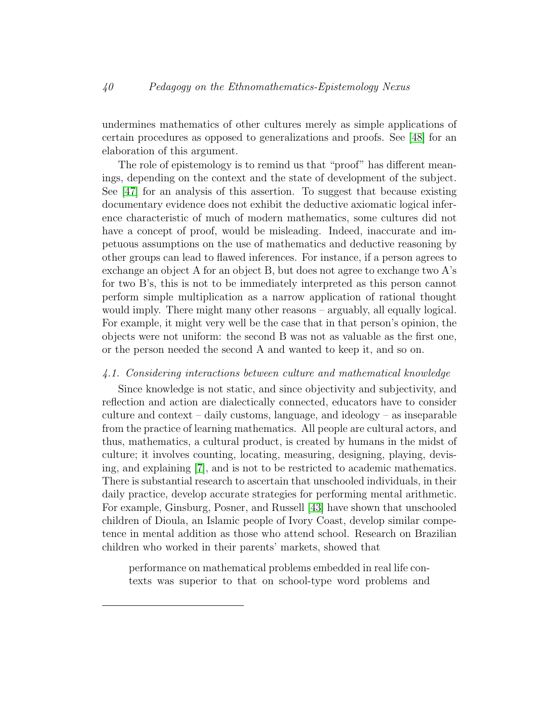undermines mathematics of other cultures merely as simple applications of certain procedures as opposed to generalizations and proofs. See [\[48\]](#page-21-8) for an elaboration of this argument.

The role of epistemology is to remind us that "proof" has different meanings, depending on the context and the state of development of the subject. See [\[47\]](#page-21-9) for an analysis of this assertion. To suggest that because existing documentary evidence does not exhibit the deductive axiomatic logical inference characteristic of much of modern mathematics, some cultures did not have a concept of proof, would be misleading. Indeed, inaccurate and impetuous assumptions on the use of mathematics and deductive reasoning by other groups can lead to flawed inferences. For instance, if a person agrees to exchange an object A for an object B, but does not agree to exchange two A's for two B's, this is not to be immediately interpreted as this person cannot perform simple multiplication as a narrow application of rational thought would imply. There might many other reasons – arguably, all equally logical. For example, it might very well be the case that in that person's opinion, the objects were not uniform: the second B was not as valuable as the first one, or the person needed the second A and wanted to keep it, and so on.

#### 4.1. Considering interactions between culture and mathematical knowledge

Since knowledge is not static, and since objectivity and subjectivity, and reflection and action are dialectically connected, educators have to consider culture and context – daily customs, language, and ideology – as inseparable from the practice of learning mathematics. All people are cultural actors, and thus, mathematics, a cultural product, is created by humans in the midst of culture; it involves counting, locating, measuring, designing, playing, devising, and explaining [\[7\]](#page-18-3), and is not to be restricted to academic mathematics. There is substantial research to ascertain that unschooled individuals, in their daily practice, develop accurate strategies for performing mental arithmetic. For example, Ginsburg, Posner, and Russell [\[43\]](#page-21-10) have shown that unschooled children of Dioula, an Islamic people of Ivory Coast, develop similar competence in mental addition as those who attend school. Research on Brazilian children who worked in their parents' markets, showed that

performance on mathematical problems embedded in real life contexts was superior to that on school-type word problems and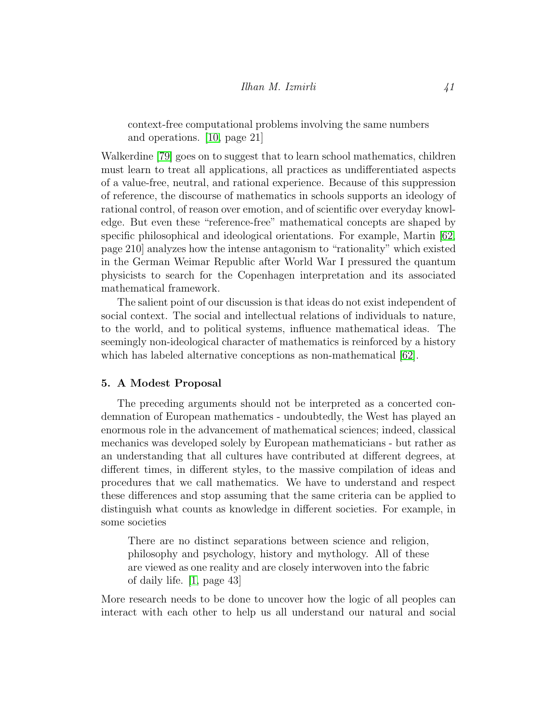context-free computational problems involving the same numbers and operations. [\[10,](#page-18-10) page 21]

Walkerdine [\[79\]](#page-24-7) goes on to suggest that to learn school mathematics, children must learn to treat all applications, all practices as undifferentiated aspects of a value-free, neutral, and rational experience. Because of this suppression of reference, the discourse of mathematics in schools supports an ideology of rational control, of reason over emotion, and of scientific over everyday knowledge. But even these "reference-free" mathematical concepts are shaped by specific philosophical and ideological orientations. For example, Martin [\[62,](#page-23-9) page 210] analyzes how the intense antagonism to "rationality" which existed in the German Weimar Republic after World War I pressured the quantum physicists to search for the Copenhagen interpretation and its associated mathematical framework.

The salient point of our discussion is that ideas do not exist independent of social context. The social and intellectual relations of individuals to nature, to the world, and to political systems, influence mathematical ideas. The seemingly non-ideological character of mathematics is reinforced by a history which has labeled alternative conceptions as non-mathematical [\[62\]](#page-23-9).

#### <span id="page-15-0"></span>5. A Modest Proposal

The preceding arguments should not be interpreted as a concerted condemnation of European mathematics - undoubtedly, the West has played an enormous role in the advancement of mathematical sciences; indeed, classical mechanics was developed solely by European mathematicians - but rather as an understanding that all cultures have contributed at different degrees, at different times, in different styles, to the massive compilation of ideas and procedures that we call mathematics. We have to understand and respect these differences and stop assuming that the same criteria can be applied to distinguish what counts as knowledge in different societies. For example, in some societies

There are no distinct separations between science and religion, philosophy and psychology, history and mythology. All of these are viewed as one reality and are closely interwoven into the fabric of daily life. [\[1,](#page-17-0) page 43]

More research needs to be done to uncover how the logic of all peoples can interact with each other to help us all understand our natural and social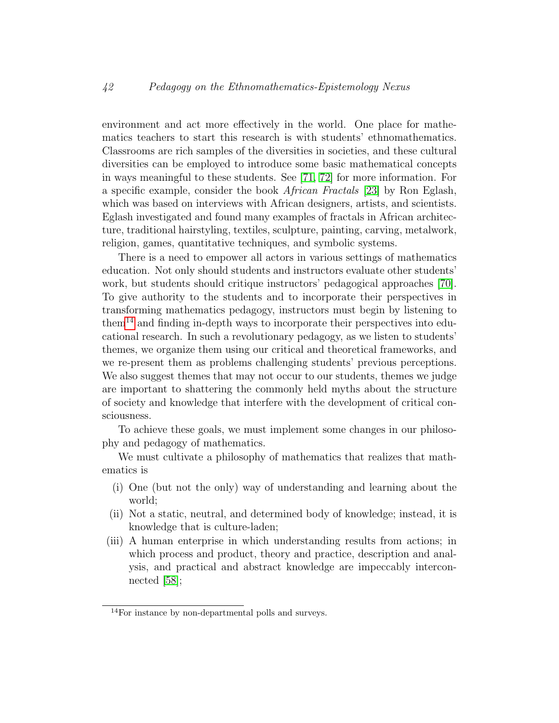environment and act more effectively in the world. One place for mathematics teachers to start this research is with students' ethnomathematics. Classrooms are rich samples of the diversities in societies, and these cultural diversities can be employed to introduce some basic mathematical concepts in ways meaningful to these students. See [\[71,](#page-24-8) [72\]](#page-24-9) for more information. For a specific example, consider the book African Fractals [\[23\]](#page-19-11) by Ron Eglash, which was based on interviews with African designers, artists, and scientists. Eglash investigated and found many examples of fractals in African architecture, traditional hairstyling, textiles, sculpture, painting, carving, metalwork, religion, games, quantitative techniques, and symbolic systems.

There is a need to empower all actors in various settings of mathematics education. Not only should students and instructors evaluate other students' work, but students should critique instructors' pedagogical approaches [\[70\]](#page-23-10). To give authority to the students and to incorporate their perspectives in transforming mathematics pedagogy, instructors must begin by listening to  $\mu$ <sup>[14](#page-16-0)</sup> and finding in-depth ways to incorporate their perspectives into educational research. In such a revolutionary pedagogy, as we listen to students' themes, we organize them using our critical and theoretical frameworks, and we re-present them as problems challenging students' previous perceptions. We also suggest themes that may not occur to our students, themes we judge are important to shattering the commonly held myths about the structure of society and knowledge that interfere with the development of critical consciousness.

To achieve these goals, we must implement some changes in our philosophy and pedagogy of mathematics.

We must cultivate a philosophy of mathematics that realizes that mathematics is

- (i) One (but not the only) way of understanding and learning about the world;
- (ii) Not a static, neutral, and determined body of knowledge; instead, it is knowledge that is culture-laden;
- (iii) A human enterprise in which understanding results from actions; in which process and product, theory and practice, description and analysis, and practical and abstract knowledge are impeccably interconnected [\[58\]](#page-22-9);

<span id="page-16-0"></span><sup>14</sup>For instance by non-departmental polls and surveys.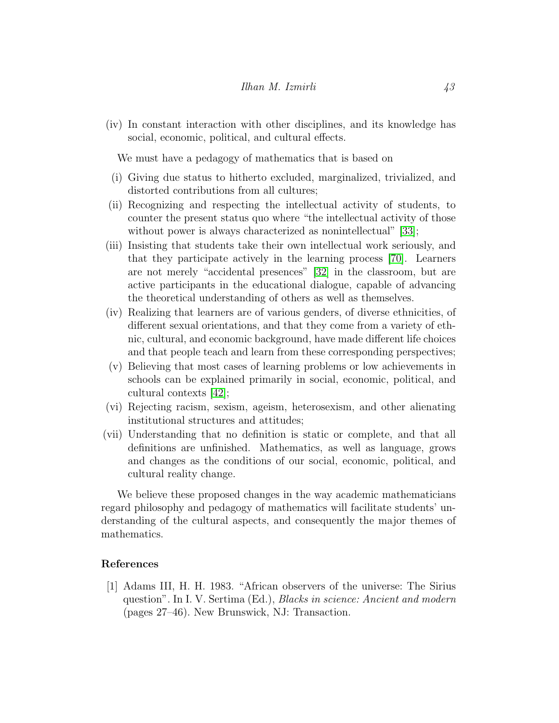(iv) In constant interaction with other disciplines, and its knowledge has social, economic, political, and cultural effects.

We must have a pedagogy of mathematics that is based on

- (i) Giving due status to hitherto excluded, marginalized, trivialized, and distorted contributions from all cultures;
- (ii) Recognizing and respecting the intellectual activity of students, to counter the present status quo where "the intellectual activity of those without power is always characterized as nonintellectual" [\[33\]](#page-20-7);
- (iii) Insisting that students take their own intellectual work seriously, and that they participate actively in the learning process [\[70\]](#page-23-10). Learners are not merely "accidental presences" [\[32\]](#page-20-8) in the classroom, but are active participants in the educational dialogue, capable of advancing the theoretical understanding of others as well as themselves.
- (iv) Realizing that learners are of various genders, of diverse ethnicities, of different sexual orientations, and that they come from a variety of ethnic, cultural, and economic background, have made different life choices and that people teach and learn from these corresponding perspectives;
- (v) Believing that most cases of learning problems or low achievements in schools can be explained primarily in social, economic, political, and cultural contexts [\[42\]](#page-21-11);
- (vi) Rejecting racism, sexism, ageism, heterosexism, and other alienating institutional structures and attitudes;
- (vii) Understanding that no definition is static or complete, and that all definitions are unfinished. Mathematics, as well as language, grows and changes as the conditions of our social, economic, political, and cultural reality change.

We believe these proposed changes in the way academic mathematicians regard philosophy and pedagogy of mathematics will facilitate students' understanding of the cultural aspects, and consequently the major themes of mathematics.

#### References

<span id="page-17-0"></span>[1] Adams III, H. H. 1983. "African observers of the universe: The Sirius question". In I. V. Sertima (Ed.), Blacks in science: Ancient and modern (pages 27–46). New Brunswick, NJ: Transaction.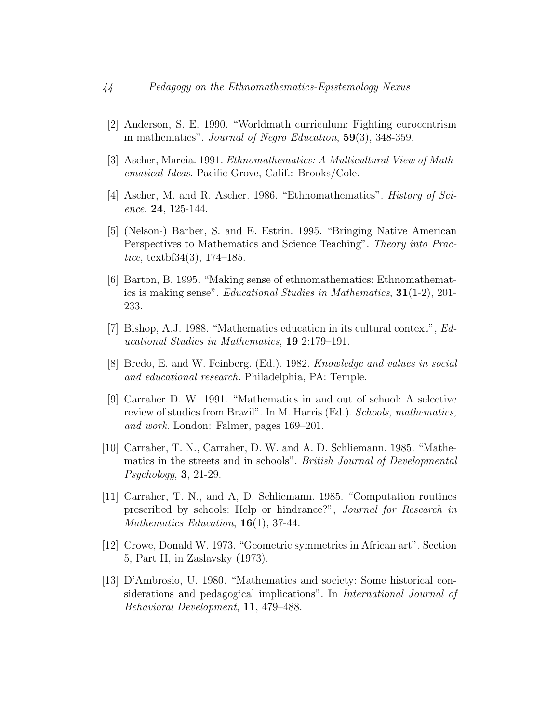- <span id="page-18-5"></span>[2] Anderson, S. E. 1990. "Worldmath curriculum: Fighting eurocentrism in mathematics". Journal of Negro Education, 59(3), 348-359.
- <span id="page-18-2"></span>[3] Ascher, Marcia. 1991. Ethnomathematics: A Multicultural View of Mathematical Ideas. Pacific Grove, Calif.: Brooks/Cole.
- <span id="page-18-1"></span>[4] Ascher, M. and R. Ascher. 1986. "Ethnomathematics". History of Science, 24, 125-144.
- <span id="page-18-9"></span>[5] (Nelson-) Barber, S. and E. Estrin. 1995. "Bringing Native American Perspectives to Mathematics and Science Teaching". Theory into Prac*tice*, textbf $34(3)$ , 174–185.
- <span id="page-18-7"></span>[6] Barton, B. 1995. "Making sense of ethnomathematics: Ethnomathematics is making sense". Educational Studies in Mathematics, 31(1-2), 201- 233.
- <span id="page-18-3"></span>[7] Bishop, A.J. 1988. "Mathematics education in its cultural context", Educational Studies in Mathematics, 19 2:179–191.
- <span id="page-18-0"></span>[8] Bredo, E. and W. Feinberg. (Ed.). 1982. Knowledge and values in social and educational research. Philadelphia, PA: Temple.
- <span id="page-18-4"></span>[9] Carraher D. W. 1991. "Mathematics in and out of school: A selective review of studies from Brazil". In M. Harris (Ed.). Schools, mathematics, and work. London: Falmer, pages 169–201.
- <span id="page-18-10"></span>[10] Carraher, T. N., Carraher, D. W. and A. D. Schliemann. 1985. "Mathematics in the streets and in schools". British Journal of Developmental Psychology, 3, 21-29.
- [11] Carraher, T. N., and A, D. Schliemann. 1985. "Computation routines prescribed by schools: Help or hindrance?", Journal for Research in Mathematics Education,  $16(1)$ , 37-44.
- <span id="page-18-8"></span>[12] Crowe, Donald W. 1973. "Geometric symmetries in African art". Section 5, Part II, in Zaslavsky (1973).
- <span id="page-18-6"></span>[13] D'Ambrosio, U. 1980. "Mathematics and society: Some historical considerations and pedagogical implications". In International Journal of Behavioral Development, 11, 479–488.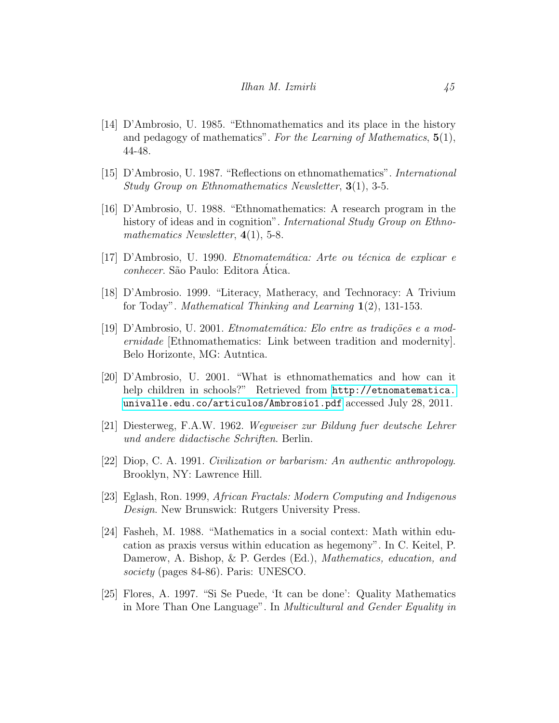- <span id="page-19-3"></span>[14] D'Ambrosio, U. 1985. "Ethnomathematics and its place in the history and pedagogy of mathematics". For the Learning of Mathematics,  $5(1)$ , 44-48.
- <span id="page-19-4"></span>[15] D'Ambrosio, U. 1987. "Reflections on ethnomathematics". International Study Group on Ethnomathematics Newsletter, 3(1), 3-5.
- <span id="page-19-5"></span>[16] D'Ambrosio, U. 1988. "Ethnomathematics: A research program in the history of ideas and in cognition". International Study Group on Ethnomathematics Newsletter,  $4(1)$ , 5-8.
- <span id="page-19-6"></span> $[17]$  D'Ambrosio, U. 1990. *Etnomatemática: Arte ou técnica de explicar e* conhecer. São Paulo: Editora Ática.
- <span id="page-19-7"></span>[18] D'Ambrosio. 1999. "Literacy, Matheracy, and Technoracy: A Trivium for Today". Mathematical Thinking and Learning 1(2), 131-153.
- <span id="page-19-8"></span>[19] D'Ambrosio, U. 2001. *Etnomatemática: Elo entre as tradições e a mod*ernidade [Ethnomathematics: Link between tradition and modernity]. Belo Horizonte, MG: Autntica.
- <span id="page-19-9"></span>[20] D'Ambrosio, U. 2001. "What is ethnomathematics and how can it help children in schools?" Retrieved from [http://etnomatematica.](http://etnomatematica.univalle.edu.co/articulos/Ambrosio1.pdf) [univalle.edu.co/articulos/Ambrosio1.pdf](http://etnomatematica.univalle.edu.co/articulos/Ambrosio1.pdf) accessed July 28, 2011.
- <span id="page-19-2"></span>[21] Diesterweg, F.A.W. 1962. Wegweiser zur Bildung fuer deutsche Lehrer und andere didactische Schriften. Berlin.
- <span id="page-19-0"></span>[22] Diop, C. A. 1991. Civilization or barbarism: An authentic anthropology. Brooklyn, NY: Lawrence Hill.
- <span id="page-19-11"></span>[23] Eglash, Ron. 1999, African Fractals: Modern Computing and Indigenous Design. New Brunswick: Rutgers University Press.
- <span id="page-19-1"></span>[24] Fasheh, M. 1988. "Mathematics in a social context: Math within education as praxis versus within education as hegemony". In C. Keitel, P. Damerow, A. Bishop, & P. Gerdes (Ed.), *Mathematics*, *education*, and society (pages 84-86). Paris: UNESCO.
- <span id="page-19-10"></span>[25] Flores, A. 1997. "Si Se Puede, 'It can be done': Quality Mathematics in More Than One Language". In Multicultural and Gender Equality in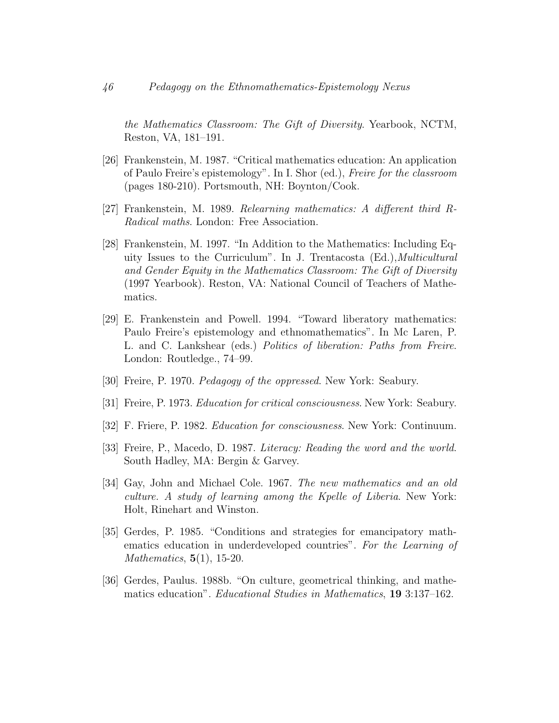the Mathematics Classroom: The Gift of Diversity. Yearbook, NCTM, Reston, VA, 181–191.

- [26] Frankenstein, M. 1987. "Critical mathematics education: An application of Paulo Freire's epistemology". In I. Shor (ed.), Freire for the classroom (pages 180-210). Portsmouth, NH: Boynton/Cook.
- [27] Frankenstein, M. 1989. Relearning mathematics: A different third R-Radical maths. London: Free Association.
- <span id="page-20-2"></span>[28] Frankenstein, M. 1997. "In Addition to the Mathematics: Including Equity Issues to the Curriculum". In J. Trentacosta (Ed.),Multicultural and Gender Equity in the Mathematics Classroom: The Gift of Diversity (1997 Yearbook). Reston, VA: National Council of Teachers of Mathematics.
- <span id="page-20-5"></span>[29] E. Frankenstein and Powell. 1994. "Toward liberatory mathematics: Paulo Freire's epistemology and ethnomathematics". In Mc Laren, P. L. and C. Lankshear (eds.) Politics of liberation: Paths from Freire. London: Routledge., 74–99.
- <span id="page-20-1"></span>[30] Freire, P. 1970. *Pedagogy of the oppressed*. New York: Seabury.
- <span id="page-20-0"></span>[31] Freire, P. 1973. Education for critical consciousness. New York: Seabury.
- <span id="page-20-8"></span>[32] F. Friere, P. 1982. Education for consciousness. New York: Continuum.
- <span id="page-20-7"></span>[33] Freire, P., Macedo, D. 1987. Literacy: Reading the word and the world. South Hadley, MA: Bergin & Garvey.
- <span id="page-20-4"></span>[34] Gay, John and Michael Cole. 1967. The new mathematics and an old culture. A study of learning among the Kpelle of Liberia. New York: Holt, Rinehart and Winston.
- <span id="page-20-3"></span>[35] Gerdes, P. 1985. "Conditions and strategies for emancipatory mathematics education in underdeveloped countries". For the Learning of Mathematics, 5(1), 15-20.
- <span id="page-20-6"></span>[36] Gerdes, Paulus. 1988b. "On culture, geometrical thinking, and mathematics education". Educational Studies in Mathematics, 19 3:137–162.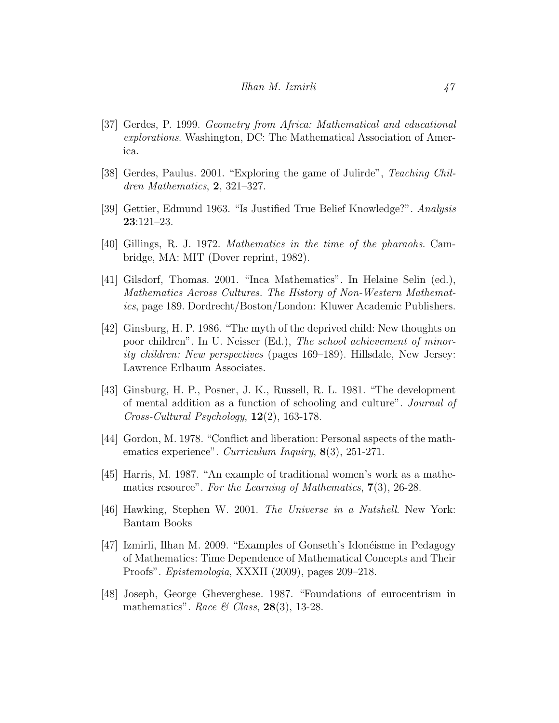- <span id="page-21-2"></span>[37] Gerdes, P. 1999. Geometry from Africa: Mathematical and educational explorations. Washington, DC: The Mathematical Association of America.
- <span id="page-21-7"></span>[38] Gerdes, Paulus. 2001. "Exploring the game of Julirde", Teaching Children Mathematics, 2, 321–327.
- <span id="page-21-0"></span>[39] Gettier, Edmund 1963. "Is Justified True Belief Knowledge?". Analysis 23:121–23.
- <span id="page-21-3"></span>[40] Gillings, R. J. 1972. Mathematics in the time of the pharaohs. Cambridge, MA: MIT (Dover reprint, 1982).
- <span id="page-21-4"></span>[41] Gilsdorf, Thomas. 2001. "Inca Mathematics". In Helaine Selin (ed.), Mathematics Across Cultures. The History of Non-Western Mathematics, page 189. Dordrecht/Boston/London: Kluwer Academic Publishers.
- <span id="page-21-11"></span>[42] Ginsburg, H. P. 1986. "The myth of the deprived child: New thoughts on poor children". In U. Neisser (Ed.), The school achievement of minority children: New perspectives (pages 169–189). Hillsdale, New Jersey: Lawrence Erlbaum Associates.
- <span id="page-21-10"></span>[43] Ginsburg, H. P., Posner, J. K., Russell, R. L. 1981. "The development of mental addition as a function of schooling and culture". Journal of Cross-Cultural Psychology, 12(2), 163-178.
- <span id="page-21-6"></span>[44] Gordon, M. 1978. "Conflict and liberation: Personal aspects of the mathematics experience". Curriculum Inquiry, 8(3), 251-271.
- <span id="page-21-5"></span>[45] Harris, M. 1987. "An example of traditional women's work as a mathematics resource". For the Learning of Mathematics, 7(3), 26-28.
- <span id="page-21-1"></span>[46] Hawking, Stephen W. 2001. The Universe in a Nutshell. New York: Bantam Books
- <span id="page-21-9"></span>[47] Izmirli, Ilhan M. 2009. "Examples of Gonseth's Idonéisme in Pedagogy of Mathematics: Time Dependence of Mathematical Concepts and Their Proofs". Epistemologia, XXXII (2009), pages 209–218.
- <span id="page-21-8"></span>[48] Joseph, George Gheverghese. 1987. "Foundations of eurocentrism in mathematics". Race & Class, 28(3), 13-28.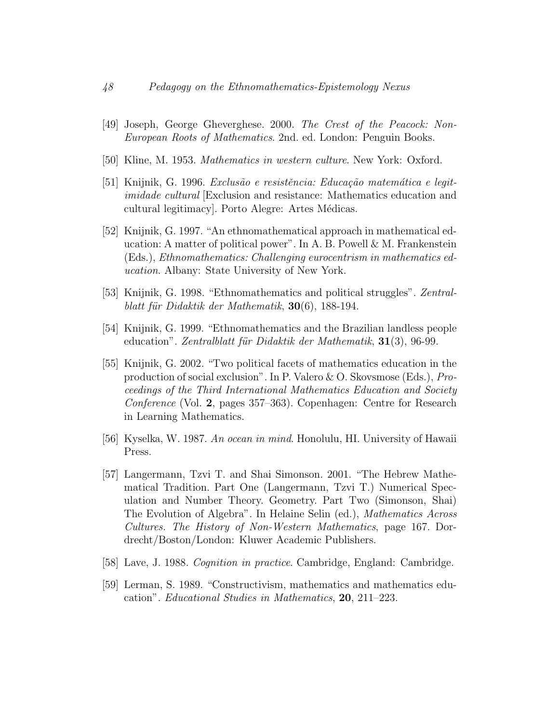- <span id="page-22-7"></span>[49] Joseph, George Gheverghese. 2000. The Crest of the Peacock: Non-European Roots of Mathematics. 2nd. ed. London: Penguin Books.
- [50] Kline, M. 1953. Mathematics in western culture. New York: Oxford.
- <span id="page-22-1"></span>[51] Knijnik, G. 1996. Exclusão e resistência: Educação matemática e legitimidade cultural [Exclusion and resistance: Mathematics education and cultural legitimacy. Porto Alegre: Artes Médicas.
- <span id="page-22-2"></span>[52] Knijnik, G. 1997. "An ethnomathematical approach in mathematical education: A matter of political power". In A. B. Powell & M. Frankenstein (Eds.), Ethnomathematics: Challenging eurocentrism in mathematics education. Albany: State University of New York.
- <span id="page-22-3"></span>[53] Knijnik, G. 1998. "Ethnomathematics and political struggles". Zentralblatt für Didaktik der Mathematik,  $30(6)$ , 188-194.
- <span id="page-22-4"></span>[54] Knijnik, G. 1999. "Ethnomathematics and the Brazilian landless people education". Zentralblatt für Didaktik der Mathematik,  $31(3)$ , 96-99.
- <span id="page-22-5"></span>[55] Knijnik, G. 2002. "Two political facets of mathematics education in the production of social exclusion". In P. Valero & O. Skovsmose (Eds.), Proceedings of the Third International Mathematics Education and Society Conference (Vol. 2, pages 357–363). Copenhagen: Centre for Research in Learning Mathematics.
- <span id="page-22-8"></span>[56] Kyselka, W. 1987. An ocean in mind. Honolulu, HI. University of Hawaii Press.
- <span id="page-22-6"></span>[57] Langermann, Tzvi T. and Shai Simonson. 2001. "The Hebrew Mathematical Tradition. Part One (Langermann, Tzvi T.) Numerical Speculation and Number Theory. Geometry. Part Two (Simonson, Shai) The Evolution of Algebra". In Helaine Selin (ed.), Mathematics Across Cultures. The History of Non-Western Mathematics, page 167. Dordrecht/Boston/London: Kluwer Academic Publishers.
- <span id="page-22-9"></span>[58] Lave, J. 1988. Cognition in practice. Cambridge, England: Cambridge.
- <span id="page-22-0"></span>[59] Lerman, S. 1989. "Constructivism, mathematics and mathematics education". Educational Studies in Mathematics, 20, 211–223.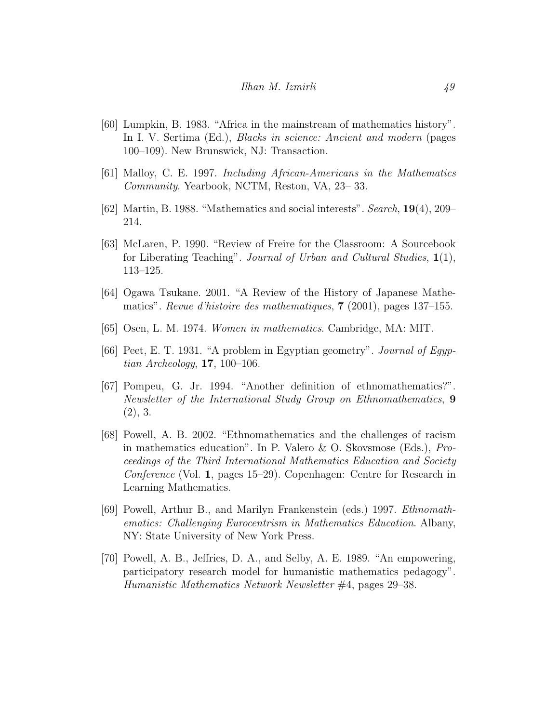- <span id="page-23-4"></span>[60] Lumpkin, B. 1983. "Africa in the mainstream of mathematics history". In I. V. Sertima (Ed.), *Blacks in science: Ancient and modern* (pages 100–109). New Brunswick, NJ: Transaction.
- <span id="page-23-8"></span>[61] Malloy, C. E. 1997. Including African-Americans in the Mathematics Community. Yearbook, NCTM, Reston, VA, 23– 33.
- <span id="page-23-9"></span>[62] Martin, B. 1988. "Mathematics and social interests". Search, 19(4), 209– 214.
- <span id="page-23-0"></span>[63] McLaren, P. 1990. "Review of Freire for the Classroom: A Sourcebook for Liberating Teaching". Journal of Urban and Cultural Studies, 1(1), 113–125.
- <span id="page-23-6"></span>[64] Ogawa Tsukane. 2001. "A Review of the History of Japanese Mathematics". Revue d'histoire des mathematiques, 7 (2001), pages 137–155.
- <span id="page-23-7"></span>[65] Osen, L. M. 1974. Women in mathematics. Cambridge, MA: MIT.
- <span id="page-23-5"></span>[66] Peet, E. T. 1931. "A problem in Egyptian geometry". Journal of Egyptian Archeology,  $17, 100-106$ .
- <span id="page-23-3"></span>[67] Pompeu, G. Jr. 1994. "Another definition of ethnomathematics?". Newsletter of the International Study Group on Ethnomathematics, 9  $(2), 3.$
- <span id="page-23-2"></span>[68] Powell, A. B. 2002. "Ethnomathematics and the challenges of racism in mathematics education". In P. Valero & O. Skovsmose (Eds.), Proceedings of the Third International Mathematics Education and Society Conference (Vol. 1, pages 15–29). Copenhagen: Centre for Research in Learning Mathematics.
- <span id="page-23-1"></span>[69] Powell, Arthur B., and Marilyn Frankenstein (eds.) 1997. Ethnomathematics: Challenging Eurocentrism in Mathematics Education. Albany, NY: State University of New York Press.
- <span id="page-23-10"></span>[70] Powell, A. B., Jeffries, D. A., and Selby, A. E. 1989. "An empowering, participatory research model for humanistic mathematics pedagogy". Humanistic Mathematics Network Newsletter #4, pages 29–38.